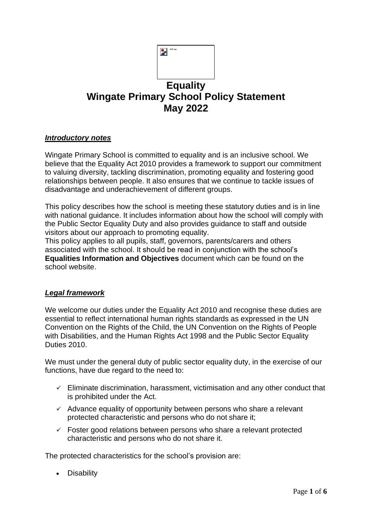|                                                | WPS logg |  |
|------------------------------------------------|----------|--|
|                                                |          |  |
| <b>Equality</b>                                |          |  |
| <b>Wingate Primary School Policy Statement</b> |          |  |
| <b>May 2022</b>                                |          |  |

## *Introductory notes*

Wingate Primary School is committed to equality and is an inclusive school. We believe that the Equality Act 2010 provides a framework to support our commitment to valuing diversity, tackling discrimination, promoting equality and fostering good relationships between people. It also ensures that we continue to tackle issues of disadvantage and underachievement of different groups.

This policy describes how the school is meeting these statutory duties and is in line with national guidance. It includes information about how the school will comply with the Public Sector Equality Duty and also provides guidance to staff and outside visitors about our approach to promoting equality.

This policy applies to all pupils, staff, governors, parents/carers and others associated with the school. It should be read in conjunction with the school's **Equalities Information and Objectives** document which can be found on the school website.

## *Legal framework*

We welcome our duties under the Equality Act 2010 and recognise these duties are essential to reflect international human rights standards as expressed in the UN Convention on the Rights of the Child, the UN Convention on the Rights of People with Disabilities, and the Human Rights Act 1998 and the Public Sector Equality Duties 2010.

We must under the general duty of public sector equality duty, in the exercise of our functions, have due regard to the need to:

- $\checkmark$  Eliminate discrimination, harassment, victimisation and any other conduct that is prohibited under the Act.
- $\checkmark$  Advance equality of opportunity between persons who share a relevant protected characteristic and persons who do not share it;
- $\checkmark$  Foster good relations between persons who share a relevant protected characteristic and persons who do not share it.

The protected characteristics for the school's provision are:

• Disability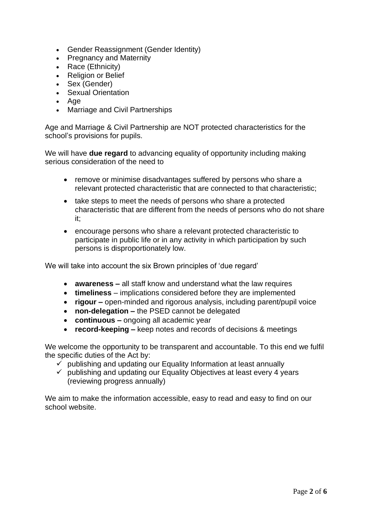- Gender Reassignment (Gender Identity)
- Pregnancy and Maternity
- Race (Ethnicity)
- Religion or Belief
- Sex (Gender)
- Sexual Orientation
- Age
- Marriage and Civil Partnerships

Age and Marriage & Civil Partnership are NOT protected characteristics for the school's provisions for pupils.

We will have **due regard** to advancing equality of opportunity including making serious consideration of the need to

- remove or minimise disadvantages suffered by persons who share a relevant protected characteristic that are connected to that characteristic;
- take steps to meet the needs of persons who share a protected characteristic that are different from the needs of persons who do not share it;
- encourage persons who share a relevant protected characteristic to participate in public life or in any activity in which participation by such persons is disproportionately low.

We will take into account the six Brown principles of 'due regard'

- **awareness –** all staff know and understand what the law requires
- **timeliness**  implications considered before they are implemented
- **rigour –** open-minded and rigorous analysis, including parent/pupil voice
- **non-delegation –** the PSED cannot be delegated
- **continuous –** ongoing all academic year
- **record-keeping –** keep notes and records of decisions & meetings

We welcome the opportunity to be transparent and accountable. To this end we fulfil the specific duties of the Act by:

- $\checkmark$  publishing and updating our Equality Information at least annually
- $\checkmark$  publishing and updating our Equality Objectives at least every 4 years (reviewing progress annually)

We aim to make the information accessible, easy to read and easy to find on our school website.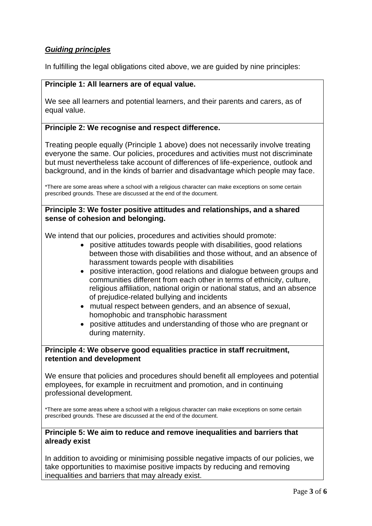# *Guiding principles*

In fulfilling the legal obligations cited above, we are guided by nine principles:

## **Principle 1: All learners are of equal value.**

We see all learners and potential learners, and their parents and carers, as of equal value.

#### **Principle 2: We recognise and respect difference.**

Treating people equally (Principle 1 above) does not necessarily involve treating everyone the same. Our policies, procedures and activities must not discriminate but must nevertheless take account of differences of life-experience, outlook and background, and in the kinds of barrier and disadvantage which people may face.

\*There are some areas where a school with a religious character can make exceptions on some certain prescribed grounds. These are discussed at the end of the document.

#### **Principle 3: We foster positive attitudes and relationships, and a shared sense of cohesion and belonging.**

We intend that our policies, procedures and activities should promote:

- positive attitudes towards people with disabilities, good relations between those with disabilities and those without, and an absence of harassment towards people with disabilities
- positive interaction, good relations and dialogue between groups and communities different from each other in terms of ethnicity, culture, religious affiliation, national origin or national status, and an absence of prejudice-related bullying and incidents
- mutual respect between genders, and an absence of sexual, homophobic and transphobic harassment
- positive attitudes and understanding of those who are pregnant or during maternity.

## **Principle 4: We observe good equalities practice in staff recruitment, retention and development**

We ensure that policies and procedures should benefit all employees and potential employees, for example in recruitment and promotion, and in continuing professional development.

\*There are some areas where a school with a religious character can make exceptions on some certain prescribed grounds. These are discussed at the end of the document.

#### **Principle 5: We aim to reduce and remove inequalities and barriers that already exist**

In addition to avoiding or minimising possible negative impacts of our policies, we take opportunities to maximise positive impacts by reducing and removing inequalities and barriers that may already exist.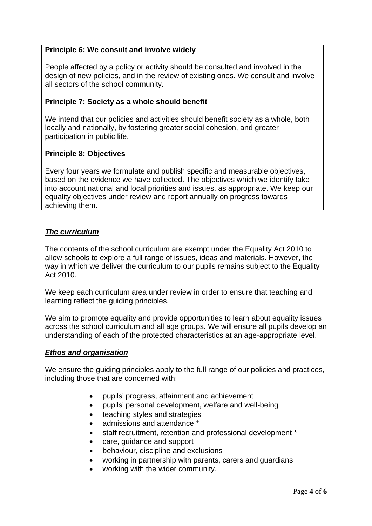# **Principle 6: We consult and involve widely**

People affected by a policy or activity should be consulted and involved in the design of new policies, and in the review of existing ones. We consult and involve all sectors of the school community.

#### **Principle 7: Society as a whole should benefit**

We intend that our policies and activities should benefit society as a whole, both locally and nationally, by fostering greater social cohesion, and greater participation in public life.

## **Principle 8: Objectives**

Every four years we formulate and publish specific and measurable objectives, based on the evidence we have collected. The objectives which we identify take into account national and local priorities and issues, as appropriate. We keep our equality objectives under review and report annually on progress towards achieving them.

# *The curriculum*

The contents of the school curriculum are exempt under the Equality Act 2010 to allow schools to explore a full range of issues, ideas and materials. However, the way in which we deliver the curriculum to our pupils remains subject to the Equality Act 2010.

We keep each curriculum area under review in order to ensure that teaching and learning reflect the guiding principles.

We aim to promote equality and provide opportunities to learn about equality issues across the school curriculum and all age groups. We will ensure all pupils develop an understanding of each of the protected characteristics at an age-appropriate level.

## *Ethos and organisation*

We ensure the quiding principles apply to the full range of our policies and practices, including those that are concerned with:

- pupils' progress, attainment and achievement
- pupils' personal development, welfare and well-being
- teaching styles and strategies
- admissions and attendance \*
- staff recruitment, retention and professional development \*
- care, guidance and support
- behaviour, discipline and exclusions
- working in partnership with parents, carers and guardians
- working with the wider community.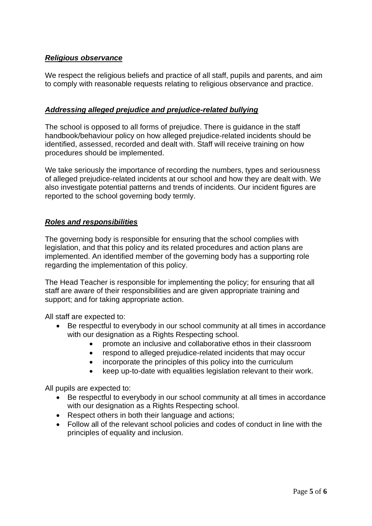# *Religious observance*

We respect the religious beliefs and practice of all staff, pupils and parents, and aim to comply with reasonable requests relating to religious observance and practice.

# *Addressing alleged prejudice and prejudice-related bullying*

The school is opposed to all forms of prejudice. There is guidance in the staff handbook/behaviour policy on how alleged prejudice-related incidents should be identified, assessed, recorded and dealt with. Staff will receive training on how procedures should be implemented.

We take seriously the importance of recording the numbers, types and seriousness of alleged prejudice-related incidents at our school and how they are dealt with. We also investigate potential patterns and trends of incidents. Our incident figures are reported to the school governing body termly.

# *Roles and responsibilities*

The governing body is responsible for ensuring that the school complies with legislation, and that this policy and its related procedures and action plans are implemented. An identified member of the governing body has a supporting role regarding the implementation of this policy.

The Head Teacher is responsible for implementing the policy; for ensuring that all staff are aware of their responsibilities and are given appropriate training and support; and for taking appropriate action.

All staff are expected to:

- Be respectful to everybody in our school community at all times in accordance with our designation as a Rights Respecting school.
	- promote an inclusive and collaborative ethos in their classroom
	- respond to alleged prejudice-related incidents that may occur
	- incorporate the principles of this policy into the curriculum
	- keep up-to-date with equalities legislation relevant to their work.

All pupils are expected to:

- Be respectful to everybody in our school community at all times in accordance with our designation as a Rights Respecting school.
- Respect others in both their language and actions;
- Follow all of the relevant school policies and codes of conduct in line with the principles of equality and inclusion.